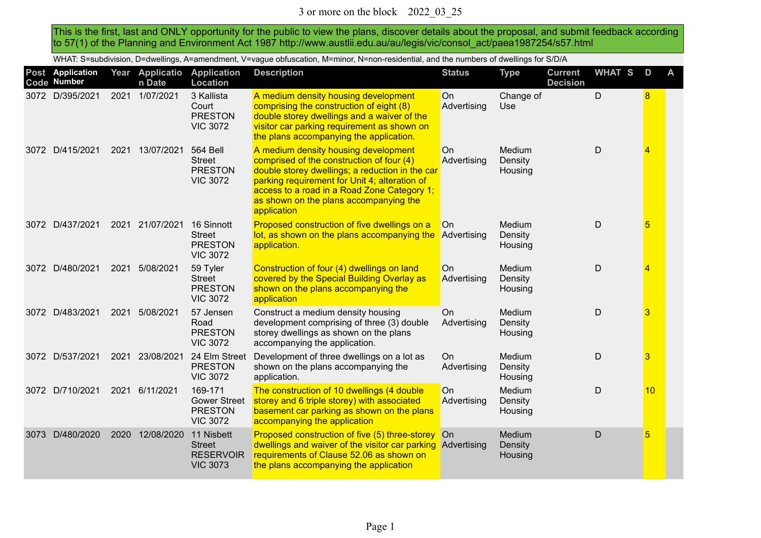This is the first, last and ONLY opportunity for the public to view the plans, discover details about the proposal, and submit feedback according to 57(1) of the Planning and Environment Act 1987 http://www.austlii.edu.au/au/legis/vic/consol\_act/paea1987254/s57.html

WHAT: S=subdivision, D=dwellings, A=amendment, V=vague obfuscation, M=minor, N=non-residential, and the numbers of dwellings for S/D/A

|      | Post Application<br>Code Number |      | Year Applicatio<br>n Date | <b>Application</b><br><b>Location</b>                               | <b>Description</b>                                                                                                                                                                                                                                                                            | <b>Status</b>            | <b>Type</b>                  | <b>Current</b><br><b>Decision</b> | <b>WHAT S</b> | D               | A |
|------|---------------------------------|------|---------------------------|---------------------------------------------------------------------|-----------------------------------------------------------------------------------------------------------------------------------------------------------------------------------------------------------------------------------------------------------------------------------------------|--------------------------|------------------------------|-----------------------------------|---------------|-----------------|---|
|      | 3072 D/395/2021                 | 2021 | 1/07/2021                 | 3 Kallista<br>Court<br><b>PRESTON</b><br><b>VIC 3072</b>            | A medium density housing development<br>comprising the construction of eight (8)<br>double storey dwellings and a waiver of the<br>visitor car parking requirement as shown on<br>the plans accompanying the application.                                                                     | On<br>Advertising        | Change of<br><b>Use</b>      |                                   | D             | 8               |   |
|      | 3072 D/415/2021                 | 2021 | 13/07/2021                | 564 Bell<br><b>Street</b><br><b>PRESTON</b><br><b>VIC 3072</b>      | A medium density housing development<br>comprised of the construction of four (4)<br>double storey dwellings; a reduction in the car<br>parking requirement for Unit 4; alteration of<br>access to a road in a Road Zone Category 1;<br>as shown on the plans accompanying the<br>application | On<br>Advertising        | Medium<br>Density<br>Housing |                                   | D             | 4               |   |
|      | 3072 D/437/2021                 |      | 2021 21/07/2021           | 16 Sinnott<br><b>Street</b><br><b>PRESTON</b><br><b>VIC 3072</b>    | Proposed construction of five dwellings on a<br>lot, as shown on the plans accompanying the<br>application.                                                                                                                                                                                   | On<br>Advertising        | Medium<br>Density<br>Housing |                                   | D             | 5               |   |
|      | 3072 D/480/2021                 | 2021 | 5/08/2021                 | 59 Tyler<br><b>Street</b><br><b>PRESTON</b><br><b>VIC 3072</b>      | Construction of four (4) dwellings on land<br>covered by the Special Building Overlay as<br>shown on the plans accompanying the<br>application                                                                                                                                                | On<br>Advertising        | Medium<br>Density<br>Housing |                                   | D             | 4               |   |
|      | 3072 D/483/2021                 |      | 2021 5/08/2021            | 57 Jensen<br>Road<br><b>PRESTON</b><br><b>VIC 3072</b>              | Construct a medium density housing<br>development comprising of three (3) double<br>storey dwellings as shown on the plans<br>accompanying the application.                                                                                                                                   | <b>On</b><br>Advertising | Medium<br>Density<br>Housing |                                   | D             | 3               |   |
|      | 3072 D/537/2021                 | 2021 | 23/08/2021                | 24 Elm Street<br><b>PRESTON</b><br><b>VIC 3072</b>                  | Development of three dwellings on a lot as<br>shown on the plans accompanying the<br>application.                                                                                                                                                                                             | On<br>Advertising        | Medium<br>Density<br>Housing |                                   | D             | 3               |   |
|      | 3072 D/710/2021                 | 2021 | 6/11/2021                 | 169-171<br><b>Gower Street</b><br><b>PRESTON</b><br><b>VIC 3072</b> | The construction of 10 dwellings (4 double<br>storey and 6 triple storey) with associated<br>basement car parking as shown on the plans<br>accompanying the application                                                                                                                       | <b>On</b><br>Advertising | Medium<br>Density<br>Housing |                                   | D             | 10              |   |
| 3073 | D/480/2020                      | 2020 | 12/08/2020                | 11 Nisbett<br><b>Street</b><br><b>RESERVOIR</b><br><b>VIC 3073</b>  | Proposed construction of five (5) three-storey On<br>dwellings and waiver of the visitor car parking Advertising<br>requirements of Clause 52.06 as shown on<br>the plans accompanying the application                                                                                        |                          | Medium<br>Density<br>Housing |                                   | D             | $5\overline{)}$ |   |